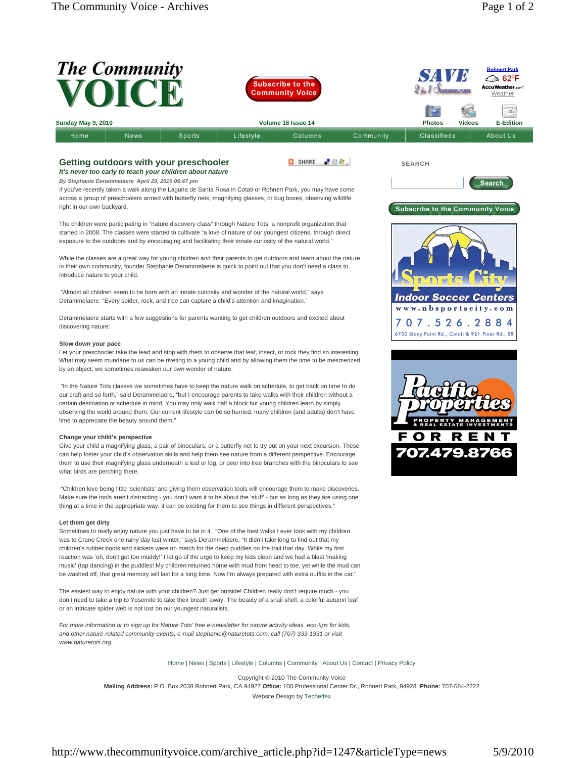|                    | The Community |        | <b>Subscribe to the</b><br><b>Community Voice</b> |         |           | <b>VI</b><br>SAN<br>$2f_{\text{br}}f$<br><i><b>Donoma.com</b></i> |               | <b>Rohnert Park</b><br>← 62°F<br>AccuWeather.com <sup>*</sup><br>Weather |
|--------------------|---------------|--------|---------------------------------------------------|---------|-----------|-------------------------------------------------------------------|---------------|--------------------------------------------------------------------------|
|                    |               |        |                                                   |         |           | lo                                                                |               | $\frac{1}{\sqrt{2}}$                                                     |
| Sunday May 9, 2010 |               |        | Volume 18 Issue 14                                |         |           | <b>Photos</b>                                                     | <b>Videos</b> | <b>E-Edition</b>                                                         |
| Home               | <b>News</b>   | Sports | Lifestyle                                         | Columns | Community | Classifieds                                                       |               | About Us                                                                 |

SHARE **NOW** 

## **Getting outdoors with your preschooler**

*It's never too early to teach your children about nature*

*By Stephanie Derammelaere April 29, 2010 06:47 pm* If you've recently taken a walk along the Laguna de Santa Rosa in Cotati or Rohnert Park, you may have come across a group of preschoolers armed with butterfly nets, magnifying glasses, or bug boxes, observing wildlife right in our own backyard.

The children were participating in "nature discovery class" through Nature Tots, a nonprofit organization that started in 2008. The classes were started to cultivate "a love of nature of our youngest citizens, through direct exposure to the outdoors and by encouraging and facilitating their innate curiosity of the natural world."

While the classes are a great way for young children and their parents to get outdoors and learn about the nature in their own community, founder Stephanie Derammelaere is quick to point out that you don't need a class to introduce nature to your child.

 "Almost all children seem to be born with an innate curiosity and wonder of the natural world," says Derammelaere. "Every spider, rock, and tree can capture a child's attention and imagination."

Derammelaere starts with a few suggestions for parents wanting to get children outdoors and excited about discovering nature:

## **Slow down your pace**

Let your preschooler take the lead and stop with them to observe that leaf, insect, or rock they find so interesting. What may seem mundane to us can be riveting to a young child and by allowing them the time to be mesmerized by an object, we sometimes reawaken our own wonder of nature.

 "In the Nature Tots classes we sometimes have to keep the nature walk on schedule, to get back on time to do our craft and so forth," said Derammelaere, "but I encourage parents to take walks with their children without a certain destination or schedule in mind. You may only walk half a block but young children learn by simply observing the world around them. Our current lifestyle can be so hurried, many children (and adults) don't have time to appreciate the beauty around them."

## **Change your child's perspective**

Give your child a magnifying glass, a pair of binoculars, or a butterfly net to try out on your next excursion. These can help foster your child's observation skills and help them see nature from a different perspective. Encourage them to use their magnifying glass underneath a leaf or log, or peer into tree branches with the binoculars to see what birds are perching there.

 "Children love being little 'scientists' and giving them observation tools will encourage them to make discoveries. Make sure the tools aren't distracting - you don't want it to be about the 'stuff' - but as long as they are using one thing at a time in the appropriate way, it can be exciting for them to see things in different perspectives."

## **Let them get dirty**

Sometimes to really enjoy nature you just have to be in it. "One of the best walks I ever took with my children was to Crane Creek one rainy day last winter," says Derammelaere. "It didn't take long to find out that my children's rubber boots and slickers were no match for the deep puddles on the trail that day. While my first reaction was 'oh, don't get too muddy!' I let go of the urge to keep my kids clean and we had a blast 'making music' (tap dancing) in the puddles! My children returned home with mud from head to toe, yet while the mud can be washed off, that great memory will last for a long time. Now I'm always prepared with extra outfits in the car."

The easiest way to enjoy nature with your children? Just get outside! Children really don't require much - you don't need to take a trip to Yosemite to take their breath away. The beauty of a snail shell, a colorful autumn leaf or an intricate spider web is not lost on our youngest naturalists.

*For more information or to sign up for Nature Tots' free e-newsletter for nature activity ideas, eco-tips for kids, and other nature-related community events, e-mail stephanie@naturetots.com, call (707) 333-1331 or visit www.naturetots.org.*

Home | News | Sports | Lifestyle | Columns | Community | About Us | Contact | Privacy Policy

Copyright © 2010 The Community Voice **Mailing Address:** P.O. Box 2038 Rohnert Park, CA 94927 **Office:** 100 Professional Center Dr., Rohnert Park, 94928 **Phone:** 707-584-2222 Website Design by Techeffex



**SEARCH**

**Subscribe to the Community Voice** 

Search